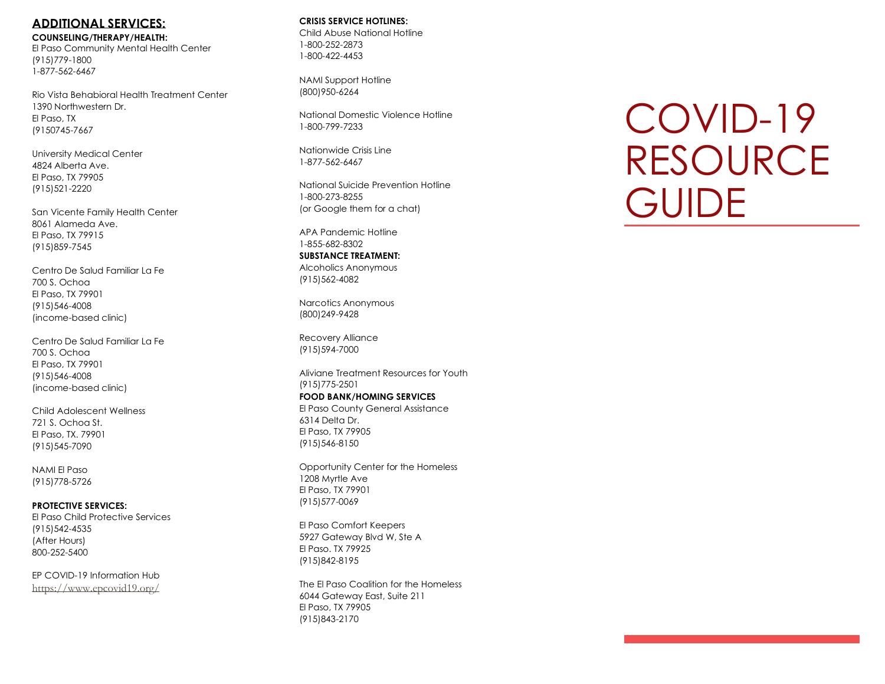# **ADDITIONAL SERVICES:**

**COUNSELING/THERAPY/HEALTH :** El Paso Community Mental Health Center (915)779 -1800 1 -877 -562 -6467

Rio Vista Behabioral Health Treatment Center 1390 Northwestern Dr. El Paso, TX (9150745 -7667

University Medical Center 4824 Alberta Ave. El Paso, TX 79905 (915)521 -2220

San Vicente Family Health Center 8061 Alameda Ave. El Paso, TX 79915 (915)859 -7545

Centro De Salud Familiar La Fe 700 S. Ochoa El Paso, TX 79901 (915)546 -4008 (income -based clinic)

Centro De Salud Familiar La Fe 700 S. Ochoa El Paso, TX 79901 (915)546 -4008 (income -based clinic)

Child Adolescent Wellness 721 S. Ochoa St. El Paso, TX. 79901 (915)545 -7090

NAMI El Paso (915)778 -5726

**PROTECTIVE SERVICES:** El Paso Child Protective Services (915)542 -4535 (After Hours) 800 -252 -5400

EP COVID -19 Information Hub <https://www.epcovid19.org/>

## **CRISIS SERVICE HOTLINES :**

Child Abuse National Hotline 1-800-252-2873 1-800-422-4453

NAMI Support Hotline (800)950 -6264

National Domestic Violence Hotline 1-800-799-7233

Nationwide Crisis Line 1-877-562-6467

National Suicide Prevention Hotline 1-800-273-8255 (or Google them for a chat)

APA Pandemic Hotline 1-855-682-8302 **SUBSTANCE TREATMENT:**

Alcoholics Anonymous (915)562 -4082

Narcotics Anonymous (800)249 -9428

Recovery Alliance (915)594 -7000

Aliviane Treatment Resources for Youth (915)775 -2501 **FOOD BANK/HOMING SERVICES**

El Paso County General Assistance 6314 Delta Dr. El Paso, TX 79905 (915)546 -8150

Opportunity Center for the Homeless 1208 Myrtle Ave El Paso, TX 79901 (915)577 -0069

El Paso Comfort Keepers 5927 Gateway Blvd W, Ste A El Paso. TX 79925 (915)842 -8195

The El Paso Coalition for the Homeless 6044 Gateway East, Suite 211 El Paso, TX 79905 (915)843 -2170

# COVID -19 RESOURCE **GUIDE**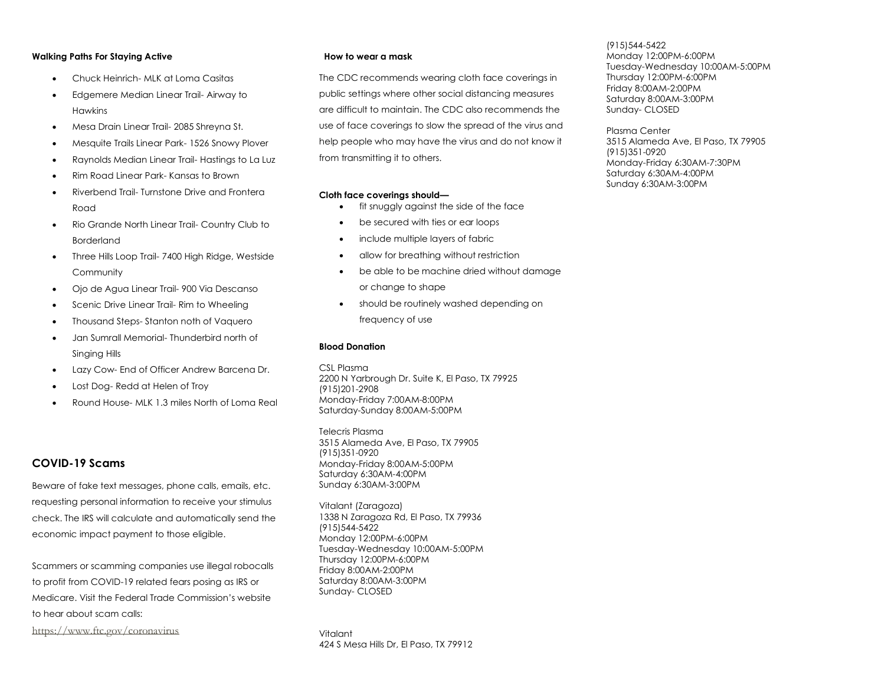#### **Walking Paths For Staying Active**

- Chuck Heinrich- MLK at Loma Casitas
- Edgemere Median Linear Trail- Airway to Hawkins
- Mesa Drain Linear Trail- 2085 Shreyna St.
- Mesquite Trails Linear Park- 1526 Snowy Plover
- Raynolds Median Linear Trail- Hastings to La Luz
- Rim Road Linear Park- Kansas to Brown
- Riverbend Trail- Turnstone Drive and Frontera Road
- Rio Grande North Linear Trail- Country Club to Borderland
- Three Hills Loop Trail- 7400 High Ridge, Westside **Community**
- Ojo de Agua Linear Trail- 900 Via Descanso
- Scenic Drive Linear Trail- Rim to Wheeling
- Thousand Steps- Stanton noth of Vaquero
- Jan Sumrall Memorial- Thunderbird north of Singing Hills
- Lazy Cow- End of Officer Andrew Barcena Dr.
- Lost Dog- Redd at Helen of Troy
- Round House- MLK 1.3 miles North of Loma Real

## **COVID-19 Scams**

Beware of fake text messages, phone calls, emails, etc. requesting personal information to receive your stimulus check. The IRS will calculate and automatically send the economic impact payment to those eligible.

Scammers or scamming companies use illegal robocalls to profit from COVID-19 related fears posing as IRS or Medicare. Visit the Federal Trade Commission's website to hear about scam calls:

<https://www.ftc.gov/coronavirus>

#### **How to wear a mask**

The CDC recommends wearing cloth face coverings in public settings where other social distancing measures are difficult to maintain. The CDC also recommends the use of face coverings to slow the spread of the virus and help people who may have the virus and do not know it from transmitting it to others.

#### **Cloth face coverings should—**

- fit snuggly against the side of the face
- be secured with ties or ear loops
- include multiple layers of fabric
- allow for breathing without restriction
- be able to be machine dried without damage or change to shape
- should be routinely washed depending on frequency of use

#### **Blood Donation**

CSL Plasma 2200 N Yarbrough Dr. Suite K, El Paso, TX 79925 (915)201-2908 Monday-Friday 7:00AM-8:00PM Saturday-Sunday 8:00AM-5:00PM

Telecris Plasma 3515 Alameda Ave, El Paso, TX 79905 (915)351-0920 Monday-Friday 8:00AM-5:00PM Saturday 6:30AM-4:00PM Sunday 6:30AM-3:00PM

Vitalant (Zaragoza) 1338 N Zaragoza Rd, El Paso, TX 79936 (915)544-5422 Monday 12:00PM-6:00PM Tuesday-Wednesday 10:00AM-5:00PM Thursday 12:00PM-6:00PM Friday 8:00AM-2:00PM Saturday 8:00AM-3:00PM Sunday- CLOSED

Vitalant 424 S Mesa Hills Dr, El Paso, TX 79912

## (915)544-5422

Monday 12:00PM-6:00PM Tuesday-Wednesday 10:00AM-5:00PM Thursday 12:00PM-6:00PM Friday 8:00AM-2:00PM Saturday 8:00AM-3:00PM Sunday- CLOSED

Plasma Center 3515 Alameda Ave, El Paso, TX 79905 (915)351-0920 Monday-Friday 6:30AM-7:30PM Saturday 6:30AM-4:00PM Sunday 6:30AM-3:00PM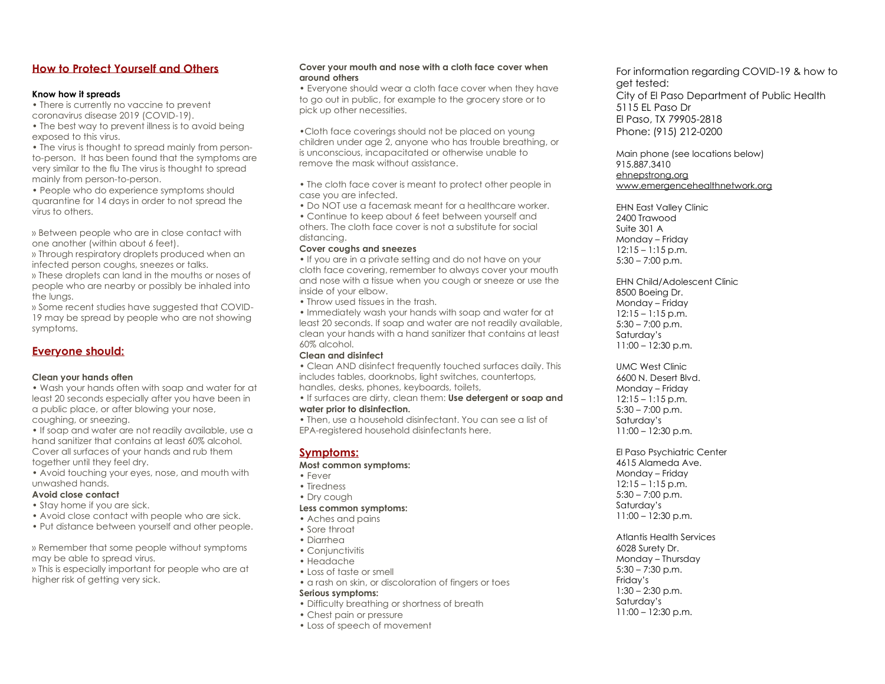## **How to Protect Yourself and Others**

#### **Know how it spreads**

• There is currently no vaccine to prevent coronavirus disease 2019 (COVID-19).

• The best way to prevent illness is to avoid being exposed to this virus.

• The virus is thought to spread mainly from personto-person. It has been found that the symptoms are very similar to the flu The virus is thought to spread mainly from person-to-person.

• People who do experience symptoms should quarantine for 14 days in order to not spread the virus to others.

» Between people who are in close contact with one another (within about 6 feet).

» Through respiratory droplets produced when an infected person coughs, sneezes or talks.

» These droplets can land in the mouths or noses of people who are nearby or possibly be inhaled into the lungs.

» Some recent studies have suggested that COVID-19 may be spread by people who are not showing symptoms.

## **Everyone should:**

#### **Clean your hands often**

• Wash your hands often with soap and water for at least 20 seconds especially after you have been in a public place, or after blowing your nose, coughing, or sneezing.

• If soap and water are not readily available, use a hand sanitizer that contains at least 60% alcohol. Cover all surfaces of your hands and rub them together until they feel dry.

• Avoid touching your eyes, nose, and mouth with unwashed hands.

## **Avoid close contact**

- Stay home if you are sick.
- Avoid close contact with people who are sick.
- Put distance between yourself and other people.

» Remember that some people without symptoms may be able to spread virus.

» This is especially important for people who are at higher risk of getting very sick.

#### **Cover your mouth and nose with a cloth face cover when around others**

• Everyone should wear a cloth face cover when they have to go out in public, for example to the grocery store or to pick up other necessities.

•Cloth face coverings should not be placed on young children under age 2, anyone who has trouble breathing, or is unconscious, incapacitated or otherwise unable to remove the mask without assistance.

- The cloth face cover is meant to protect other people in case you are infected.
- Do NOT use a facemask meant for a healthcare worker.

• Continue to keep about 6 feet between yourself and others. The cloth face cover is not a substitute for social distancing.

## **Cover coughs and sneezes**

• If you are in a private setting and do not have on your cloth face covering, remember to always cover your mouth and nose with a tissue when you cough or sneeze or use the inside of your elbow.

• Throw used tissues in the trash.

• Immediately wash your hands with soap and water for at least 20 seconds. If soap and water are not readily available, clean your hands with a hand sanitizer that contains at least 60% alcohol.

## **Clean and disinfect**

• Clean AND disinfect frequently touched surfaces daily. This includes tables, doorknobs, light switches, countertops, handles, desks, phones, keyboards, toilets,

• If surfaces are dirty, clean them: **Use detergent or soap and water prior to disinfection.**

• Then, use a household disinfectant. You can see a list of EPA-registered household disinfectants here.

## **Symptoms:**

**Most common symptoms:**

- Fever
- Tiredness
- Dry cough
- **Less common symptoms:**
- Aches and pains
- Sore throat
- Diarrhea
- Conjunctivitis
- Headache
- Loss of taste or smell
- a rash on skin, or discoloration of fingers or toes **Serious symptoms:**
- Difficulty breathing or shortness of breath
- Chest pain or pressure
- Loss of speech of movement

For information regarding COVID-19 & how to get tested: City of El Paso Department of Public Health 5115 EL Paso Dr El Paso, TX 79905-2818 Phone: (915) 212-0200

Main phone (see locations below) 915.887.3410 [ehnepstrong.org](http://ehnepstrong.org/) [www.emergencehealthnetwork.org](http://www.emergencehealthnetwork.org/)

EHN East Valley Clinic 2400 Trawood Suite 301 A Monday – Friday 12:15 – 1:15 p.m.  $5:30 - 7:00$  p.m.

EHN Child/Adolescent Clinic 8500 Boeing Dr. Monday – Friday  $12:15 - 1:15$  p.m.  $5:30 - 7:00$  p.m. Saturday's  $11:00 - 12:30$  p.m.

UMC West Clinic 6600 N. Desert Blvd. Monday – Friday  $12:15 - 1:15$  p.m.  $5:30 - 7:00$  p.m. Saturday's  $11:00 - 12:30$  p.m.

El Paso Psychiatric Center 4615 Alameda Ave. Monday – Friday  $12:15 - 1:15$  p.m.  $5:30 - 7:00$  p.m. Saturday's  $11:00 - 12:30$  p.m.

Atlantis Health Services 6028 Surety Dr. Monday – Thursday  $5:30 - 7:30$  p.m. Friday's  $1:30 - 2:30$  p.m. Saturday's  $11:00 - 12:30$  p.m.